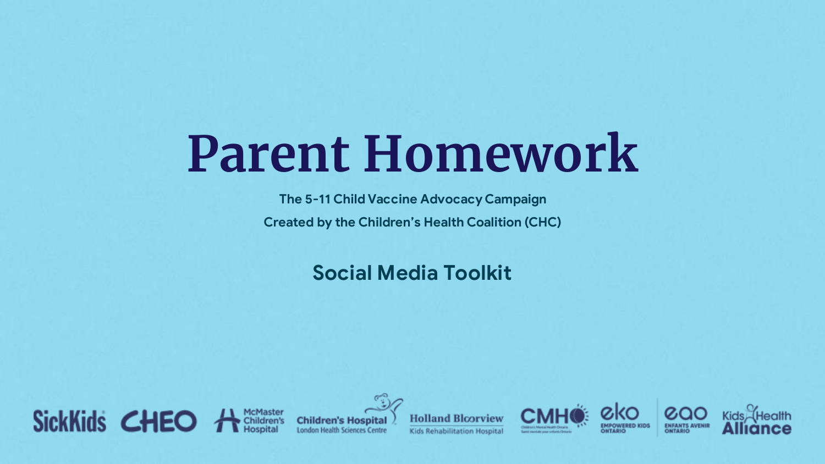## **Parent Homework**

**The 5-11 Child Vaccine Advocacy Campaign Created by the Children's Health Coalition (CHC)**

**Social Media Toolkit**



**London Health Sciences Centre** 







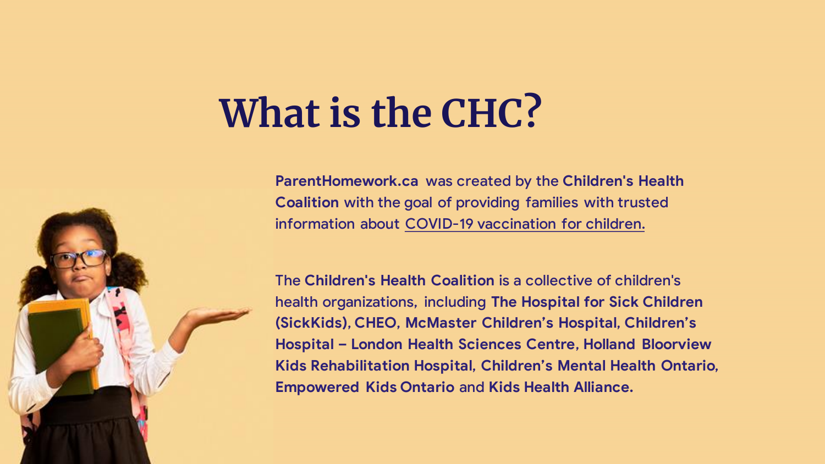## **What is the CHC?**

**ParentHomework.ca** was created by the **Children's Health Coalition** with the goal of providing families with trusted information about COVID-19 vaccination for children.

The **Children's Health Coalition** is a collective of children's health organizations, including **The Hospital for Sick Children (SickKids)**, **CHEO**, **McMaster Children's Hospital**, **Children's Hospital – London Health Sciences Centre**, **Holland Bloorview Kids Rehabilitation Hospital**, **Children's Mental Health Ontario**, **Empowered Kids Ontario** and **Kids Health Alliance.**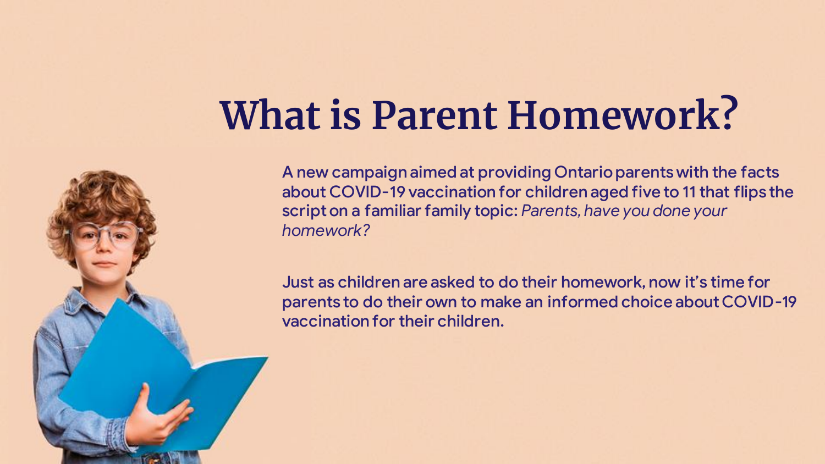## **What is Parent Homework?**

**cossette** 

A new campaign aimed at providing Ontario parents with the facts about COVID-19 vaccination for children aged five to 11 that flips the script on a familiar family topic: *Parents, have you done your homework?*

Just as children are asked to do their homework, now it's time for parents to do their own to make an informed choice about COVID-19 vaccination for their children.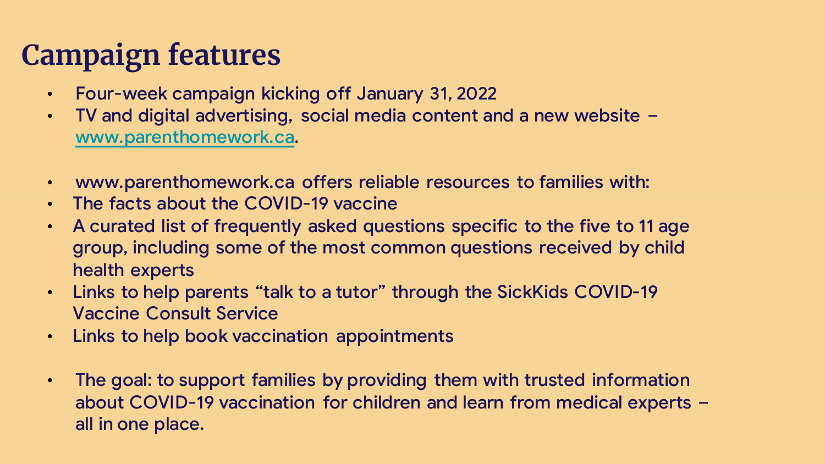### **Campaign features**

- Four-week campaign kicking off January 31, 2022
- TV and digital advertising, social media content and a new website [www.parenthomework.ca.](https://parenthomework.ca/)
- www.parenthomework.ca offers reliable resources to families with:
- The facts about the COVID-19 vaccine
- A curated list of frequently asked questions specific to the five to 11 age group, including some of the most common questions received by child health experts
- Links to help parents "talk to a tutor" through the SickKids COVID-19 Vaccine Consult Service
- Links to help book vaccination appointments
- The goal: to support families by providing them with trusted information about COVID-19 vaccination for children and learn from medical experts – all in one place.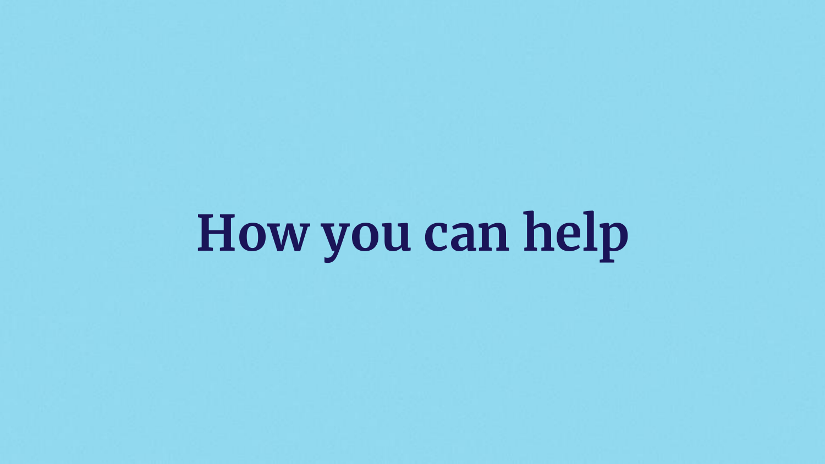# **How you can help**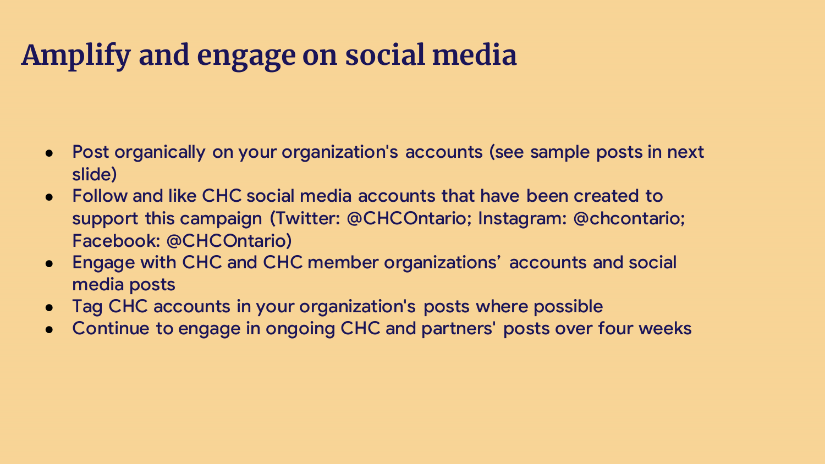#### **Amplify and engage on social media**

- Post organically on your organization's accounts (see sample posts in next slide)
- Follow and like CHC social media accounts that have been created to support this campaign (Twitter: @CHCOntario; Instagram: @chcontario; Facebook: @CHCOntario)
- Engage with CHC and CHC member organizations' accounts and social media posts
- Tag CHC accounts in your organization's posts where possible
- Continue to engage in ongoing CHC and partners' posts over four weeks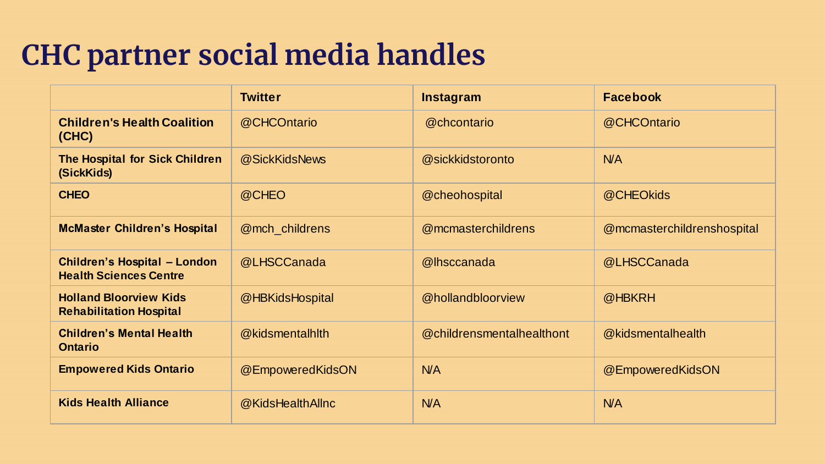#### **CHC partner social media handles**

|                                                                      | <b>Twitter</b>   | <b>Instagram</b>          | <b>Facebook</b>            |
|----------------------------------------------------------------------|------------------|---------------------------|----------------------------|
| <b>Children's Health Coalition</b><br>(CHC)                          | @CHCOntario      | @chcontario               | @CHCOntario                |
| The Hospital for Sick Children<br>(SickKids)                         | @SickKidsNews    | @sickkidstoronto          | <b>N/A</b>                 |
| <b>CHEO</b>                                                          | @CHEO            | @cheohospital             | @CHEOkids                  |
| <b>McMaster Children's Hospital</b>                                  | @mch_childrens   | @mcmasterchildrens        | @mcmasterchildrenshospital |
| <b>Children's Hospital - London</b><br><b>Health Sciences Centre</b> | @LHSCCanada      | @lhsccanada               | @LHSCCanada                |
| <b>Holland Bloorview Kids</b><br><b>Rehabilitation Hospital</b>      | @HBKidsHospital  | @hollandbloorview         | @HBKRH                     |
| <b>Children's Mental Health</b><br><b>Ontario</b>                    | @kidsmentalhlth  | @childrensmentalhealthont | @kidsmentalhealth          |
| <b>Empowered Kids Ontario</b>                                        | @EmpoweredKidsON | N/A                       | @EmpoweredKidsON           |
| <b>Kids Health Alliance</b>                                          | @KidsHealthAllnc | N/A                       | N/A                        |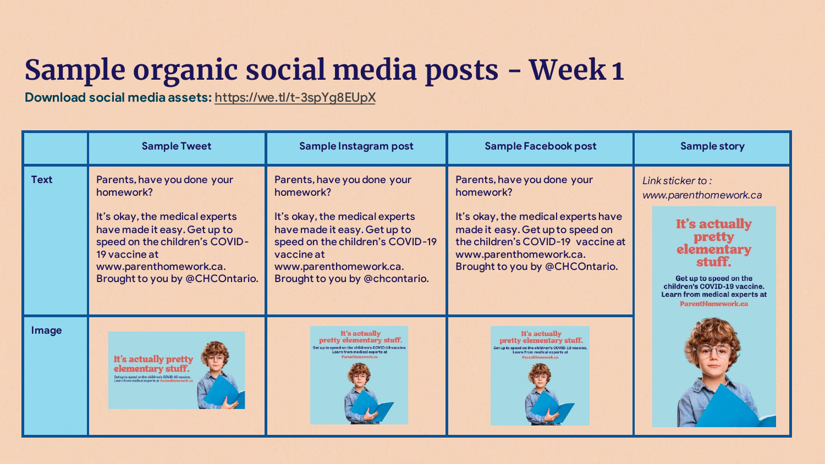### **Sample organic social media posts - Week 1**

**Download social media assets:** <https://we.tl/t-3spYg8EUpX>

|             | <b>Sample Tweet</b>                                                                                                                                                                                                       | Sample Instagram post                                                                                                                                                                                                    | Sample Facebook post                                                                                                                                                                                                  | <b>Sample story</b>                                                                                                                                                                                          |
|-------------|---------------------------------------------------------------------------------------------------------------------------------------------------------------------------------------------------------------------------|--------------------------------------------------------------------------------------------------------------------------------------------------------------------------------------------------------------------------|-----------------------------------------------------------------------------------------------------------------------------------------------------------------------------------------------------------------------|--------------------------------------------------------------------------------------------------------------------------------------------------------------------------------------------------------------|
| <b>Text</b> | Parents, have you done your<br>homework?<br>It's okay, the medical experts<br>have made it easy. Get up to<br>speed on the children's COVID-<br>19 vaccine at<br>www.parenthomework.ca.<br>Brought to you by @CHCOntario. | Parents, have you done your<br>homework?<br>It's okay, the medical experts<br>have made it easy. Get up to<br>speed on the children's COVID-19<br>vaccine at<br>www.parenthomework.ca.<br>Brought to you by @chcontario. | Parents, have you done your<br>homework?<br>It's okay, the medical experts have<br>made it easy. Get up to speed on<br>the children's COVID-19 vaccine at<br>www.parenthomework.ca.<br>Brought to you by @CHCOntario. | Link sticker to:<br>www.parenthomework.ca<br>It's actually<br>pretty<br>elementary<br>stuff.<br>Get up to speed on the<br>children's COVID-19 vaccine.<br>Learn from medical experts at<br>ParentHomework.ca |
| Image       | It's actually pretty<br>elementary stuff.<br>Get up to speed on the children's COVID-19 vaccine.<br>Learn from medical experts at ParentHomework.co                                                                       | It's actually<br>pretty elementary stuff.<br>arn from medical experts at                                                                                                                                                 | It's actually<br>pretty elementary stuff.<br>eed on the children's COVID-19 vaccine<br>earn from medical experts at                                                                                                   |                                                                                                                                                                                                              |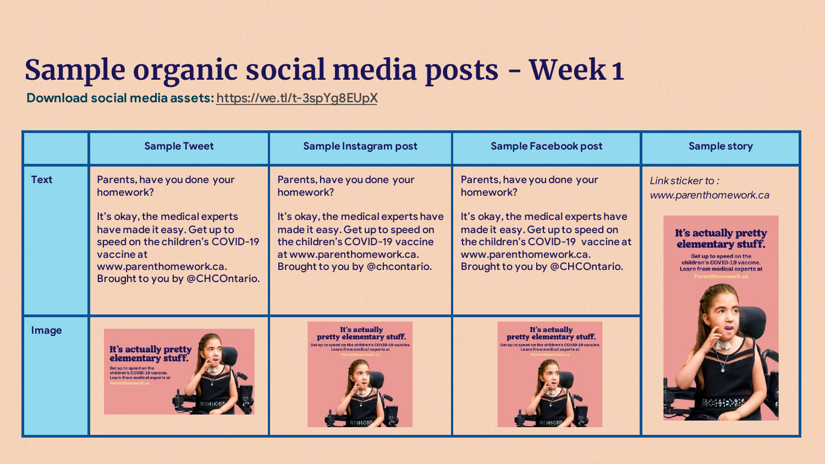### **Sample organic social media posts - Week 1**

**Download social media assets:** <https://we.tl/t-3spYg8EUpX>

|             | <b>Sample Tweet</b>                                                                                                                                                                                                      | Sample Instagram post                                                                                                                                                                                                 | Sample Facebook post                                                                                                                                                                                                  | <b>Sample story</b>                                                                                                                                                               |
|-------------|--------------------------------------------------------------------------------------------------------------------------------------------------------------------------------------------------------------------------|-----------------------------------------------------------------------------------------------------------------------------------------------------------------------------------------------------------------------|-----------------------------------------------------------------------------------------------------------------------------------------------------------------------------------------------------------------------|-----------------------------------------------------------------------------------------------------------------------------------------------------------------------------------|
| <b>Text</b> | Parents, have you done your<br>homework?<br>It's okay, the medical experts<br>have made it easy. Get up to<br>speed on the children's COVID-19<br>vaccine at<br>www.parenthomework.ca.<br>Brought to you by @CHCOntario. | Parents, have you done your<br>homework?<br>It's okay, the medical experts have<br>made it easy. Get up to speed on<br>the children's COVID-19 vaccine<br>at www.parenthomework.ca.<br>Brought to you by @chcontario. | Parents, have you done your<br>homework?<br>It's okay, the medical experts have<br>made it easy. Get up to speed on<br>the children's COVID-19 vaccine at<br>www.parenthomework.ca.<br>Brought to you by @CHCOntario. | Link sticker to:<br>www.parenthomework.ca<br>It's actually pretty<br>elementary stuff.<br>Get up to speed on the<br>children's COVID-19 vaccine.<br>Learn from medical experts at |
| Image       | It's actually pretty<br>elementary stuff.<br>ildren's COVID-19 vaccine.<br>Learn from medical experts at                                                                                                                 | It's actually<br>pretty elementary stuff.<br>iarn from medical experts at                                                                                                                                             | It's actually<br>pretty elementary stuff.<br>Learn from medical experts a                                                                                                                                             |                                                                                                                                                                                   |